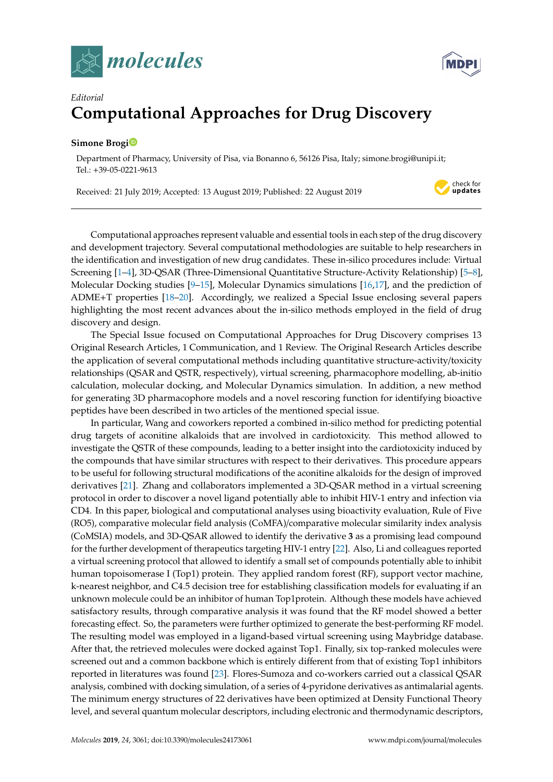



## *Editorial* **Computational Approaches for Drug Discovery**

## **Simone Brog[i](https://orcid.org/0000-0001-9375-6242)**

Department of Pharmacy, University of Pisa, via Bonanno 6, 56126 Pisa, Italy; simone.brogi@unipi.it; Tel.: +39-05-0221-9613

Received: 21 July 2019; Accepted: 13 August 2019; Published: 22 August 2019



Computational approaches represent valuable and essential tools in each step of the drug discovery and development trajectory. Several computational methodologies are suitable to help researchers in the identification and investigation of new drug candidates. These in-silico procedures include: Virtual Screening [\[1–](#page-3-0)[4\]](#page-3-1), 3D-QSAR (Three-Dimensional Quantitative Structure-Activity Relationship) [\[5](#page-3-2)[–8\]](#page-3-3), Molecular Docking studies [\[9](#page-4-0)[–15\]](#page-4-1), Molecular Dynamics simulations [\[16](#page-4-2)[,17\]](#page-4-3), and the prediction of ADME+T properties [\[18–](#page-4-4)[20\]](#page-4-5). Accordingly, we realized a Special Issue enclosing several papers highlighting the most recent advances about the in-silico methods employed in the field of drug discovery and design.

The Special Issue focused on Computational Approaches for Drug Discovery comprises 13 Original Research Articles, 1 Communication, and 1 Review. The Original Research Articles describe the application of several computational methods including quantitative structure-activity/toxicity relationships (QSAR and QSTR, respectively), virtual screening, pharmacophore modelling, ab-initio calculation, molecular docking, and Molecular Dynamics simulation. In addition, a new method for generating 3D pharmacophore models and a novel rescoring function for identifying bioactive peptides have been described in two articles of the mentioned special issue.

In particular, Wang and coworkers reported a combined in-silico method for predicting potential drug targets of aconitine alkaloids that are involved in cardiotoxicity. This method allowed to investigate the QSTR of these compounds, leading to a better insight into the cardiotoxicity induced by the compounds that have similar structures with respect to their derivatives. This procedure appears to be useful for following structural modifications of the aconitine alkaloids for the design of improved derivatives [\[21\]](#page-4-6). Zhang and collaborators implemented a 3D-QSAR method in a virtual screening protocol in order to discover a novel ligand potentially able to inhibit HIV-1 entry and infection via CD4. In this paper, biological and computational analyses using bioactivity evaluation, Rule of Five (RO5), comparative molecular field analysis (CoMFA)/comparative molecular similarity index analysis (CoMSIA) models, and 3D-QSAR allowed to identify the derivative **3** as a promising lead compound for the further development of therapeutics targeting HIV-1 entry [\[22\]](#page-4-7). Also, Li and colleagues reported a virtual screening protocol that allowed to identify a small set of compounds potentially able to inhibit human topoisomerase I (Top1) protein. They applied random forest (RF), support vector machine, k-nearest neighbor, and C4.5 decision tree for establishing classification models for evaluating if an unknown molecule could be an inhibitor of human Top1protein. Although these models have achieved satisfactory results, through comparative analysis it was found that the RF model showed a better forecasting effect. So, the parameters were further optimized to generate the best-performing RF model. The resulting model was employed in a ligand-based virtual screening using Maybridge database. After that, the retrieved molecules were docked against Top1. Finally, six top-ranked molecules were screened out and a common backbone which is entirely different from that of existing Top1 inhibitors reported in literatures was found [\[23\]](#page-4-8). Flores-Sumoza and co-workers carried out a classical QSAR analysis, combined with docking simulation, of a series of 4-pyridone derivatives as antimalarial agents. The minimum energy structures of 22 derivatives have been optimized at Density Functional Theory level, and several quantum molecular descriptors, including electronic and thermodynamic descriptors,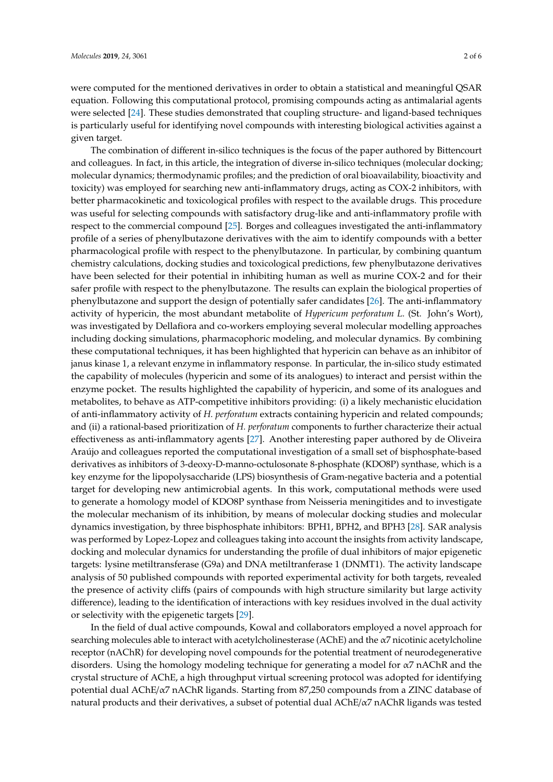were computed for the mentioned derivatives in order to obtain a statistical and meaningful QSAR equation. Following this computational protocol, promising compounds acting as antimalarial agents were selected [\[24\]](#page-4-9). These studies demonstrated that coupling structure- and ligand-based techniques is particularly useful for identifying novel compounds with interesting biological activities against a given target.

The combination of different in-silico techniques is the focus of the paper authored by Bittencourt and colleagues. In fact, in this article, the integration of diverse in-silico techniques (molecular docking; molecular dynamics; thermodynamic profiles; and the prediction of oral bioavailability, bioactivity and toxicity) was employed for searching new anti-inflammatory drugs, acting as COX-2 inhibitors, with better pharmacokinetic and toxicological profiles with respect to the available drugs. This procedure was useful for selecting compounds with satisfactory drug-like and anti-inflammatory profile with respect to the commercial compound [\[25\]](#page-5-0). Borges and colleagues investigated the anti-inflammatory profile of a series of phenylbutazone derivatives with the aim to identify compounds with a better pharmacological profile with respect to the phenylbutazone. In particular, by combining quantum chemistry calculations, docking studies and toxicological predictions, few phenylbutazone derivatives have been selected for their potential in inhibiting human as well as murine COX-2 and for their safer profile with respect to the phenylbutazone. The results can explain the biological properties of phenylbutazone and support the design of potentially safer candidates [\[26\]](#page-5-1). The anti-inflammatory activity of hypericin, the most abundant metabolite of *Hypericum perforatum L.* (St. John's Wort), was investigated by Dellafiora and co-workers employing several molecular modelling approaches including docking simulations, pharmacophoric modeling, and molecular dynamics. By combining these computational techniques, it has been highlighted that hypericin can behave as an inhibitor of janus kinase 1, a relevant enzyme in inflammatory response. In particular, the in-silico study estimated the capability of molecules (hypericin and some of its analogues) to interact and persist within the enzyme pocket. The results highlighted the capability of hypericin, and some of its analogues and metabolites, to behave as ATP-competitive inhibitors providing: (i) a likely mechanistic elucidation of anti-inflammatory activity of *H. perforatum* extracts containing hypericin and related compounds; and (ii) a rational-based prioritization of *H. perforatum* components to further characterize their actual effectiveness as anti-inflammatory agents [\[27\]](#page-5-2). Another interesting paper authored by de Oliveira Araújo and colleagues reported the computational investigation of a small set of bisphosphate-based derivatives as inhibitors of 3-deoxy-D-manno-octulosonate 8-phosphate (KDO8P) synthase, which is a key enzyme for the lipopolysaccharide (LPS) biosynthesis of Gram-negative bacteria and a potential target for developing new antimicrobial agents. In this work, computational methods were used to generate a homology model of KDO8P synthase from Neisseria meningitides and to investigate the molecular mechanism of its inhibition, by means of molecular docking studies and molecular dynamics investigation, by three bisphosphate inhibitors: BPH1, BPH2, and BPH3 [\[28\]](#page-5-3). SAR analysis was performed by Lopez-Lopez and colleagues taking into account the insights from activity landscape, docking and molecular dynamics for understanding the profile of dual inhibitors of major epigenetic targets: lysine metiltransferase (G9a) and DNA metiltranferase 1 (DNMT1). The activity landscape analysis of 50 published compounds with reported experimental activity for both targets, revealed the presence of activity cliffs (pairs of compounds with high structure similarity but large activity difference), leading to the identification of interactions with key residues involved in the dual activity or selectivity with the epigenetic targets [\[29\]](#page-5-4).

In the field of dual active compounds, Kowal and collaborators employed a novel approach for searching molecules able to interact with acetylcholinesterase (AChE) and the  $\alpha$ 7 nicotinic acetylcholine receptor (nAChR) for developing novel compounds for the potential treatment of neurodegenerative disorders. Using the homology modeling technique for generating a model for α7 nAChR and the crystal structure of AChE, a high throughput virtual screening protocol was adopted for identifying potential dual AChE/α7 nAChR ligands. Starting from 87,250 compounds from a ZINC database of natural products and their derivatives, a subset of potential dual  $\text{AChE}/\alpha$ 7 nAChR ligands was tested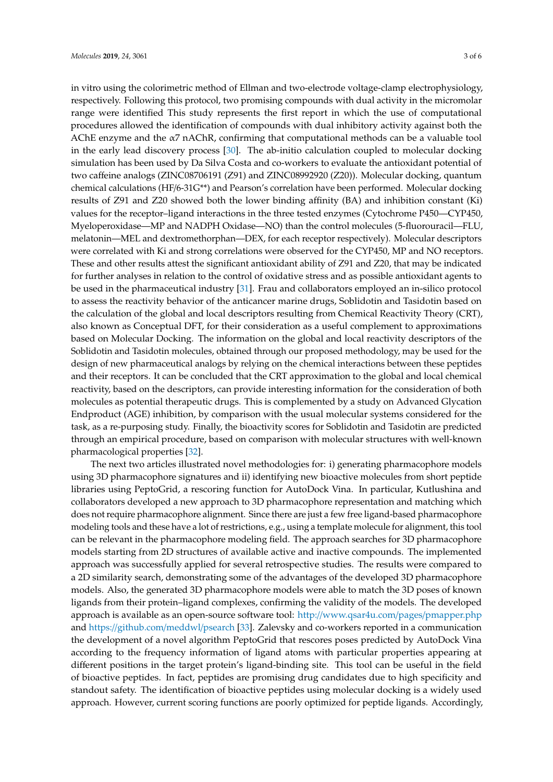in vitro using the colorimetric method of Ellman and two-electrode voltage-clamp electrophysiology, respectively. Following this protocol, two promising compounds with dual activity in the micromolar range were identified This study represents the first report in which the use of computational procedures allowed the identification of compounds with dual inhibitory activity against both the AChE enzyme and the  $\alpha$ 7 nAChR, confirming that computational methods can be a valuable tool in the early lead discovery process [\[30\]](#page-5-5). The ab-initio calculation coupled to molecular docking simulation has been used by Da Silva Costa and co-workers to evaluate the antioxidant potential of two caffeine analogs (ZINC08706191 (Z91) and ZINC08992920 (Z20)). Molecular docking, quantum chemical calculations (HF/6-31G\*\*) and Pearson's correlation have been performed. Molecular docking results of Z91 and Z20 showed both the lower binding affinity (BA) and inhibition constant (Ki) values for the receptor–ligand interactions in the three tested enzymes (Cytochrome P450—CYP450, Myeloperoxidase—MP and NADPH Oxidase—NO) than the control molecules (5-fluorouracil—FLU, melatonin—MEL and dextromethorphan—DEX, for each receptor respectively). Molecular descriptors were correlated with Ki and strong correlations were observed for the CYP450, MP and NO receptors. These and other results attest the significant antioxidant ability of Z91 and Z20, that may be indicated for further analyses in relation to the control of oxidative stress and as possible antioxidant agents to be used in the pharmaceutical industry [\[31\]](#page-5-6). Frau and collaborators employed an in-silico protocol to assess the reactivity behavior of the anticancer marine drugs, Soblidotin and Tasidotin based on the calculation of the global and local descriptors resulting from Chemical Reactivity Theory (CRT), also known as Conceptual DFT, for their consideration as a useful complement to approximations based on Molecular Docking. The information on the global and local reactivity descriptors of the Soblidotin and Tasidotin molecules, obtained through our proposed methodology, may be used for the design of new pharmaceutical analogs by relying on the chemical interactions between these peptides and their receptors. It can be concluded that the CRT approximation to the global and local chemical reactivity, based on the descriptors, can provide interesting information for the consideration of both molecules as potential therapeutic drugs. This is complemented by a study on Advanced Glycation Endproduct (AGE) inhibition, by comparison with the usual molecular systems considered for the task, as a re-purposing study. Finally, the bioactivity scores for Soblidotin and Tasidotin are predicted through an empirical procedure, based on comparison with molecular structures with well-known pharmacological properties [\[32\]](#page-5-7).

The next two articles illustrated novel methodologies for: i) generating pharmacophore models using 3D pharmacophore signatures and ii) identifying new bioactive molecules from short peptide libraries using PeptoGrid, a rescoring function for AutoDock Vina. In particular, Kutlushina and collaborators developed a new approach to 3D pharmacophore representation and matching which does not require pharmacophore alignment. Since there are just a few free ligand-based pharmacophore modeling tools and these have a lot of restrictions, e.g., using a template molecule for alignment, this tool can be relevant in the pharmacophore modeling field. The approach searches for 3D pharmacophore models starting from 2D structures of available active and inactive compounds. The implemented approach was successfully applied for several retrospective studies. The results were compared to a 2D similarity search, demonstrating some of the advantages of the developed 3D pharmacophore models. Also, the generated 3D pharmacophore models were able to match the 3D poses of known ligands from their protein–ligand complexes, confirming the validity of the models. The developed approach is available as an open-source software tool: http://[www.qsar4u.com](http://www.qsar4u.com/pages/pmapper.php)/pages/pmapper.php and https://[github.com](https://github.com/meddwl/psearch)/meddwl/psearch [\[33\]](#page-5-8). Zalevsky and co-workers reported in a communication the development of a novel algorithm PeptoGrid that rescores poses predicted by AutoDock Vina according to the frequency information of ligand atoms with particular properties appearing at different positions in the target protein's ligand-binding site. This tool can be useful in the field of bioactive peptides. In fact, peptides are promising drug candidates due to high specificity and standout safety. The identification of bioactive peptides using molecular docking is a widely used approach. However, current scoring functions are poorly optimized for peptide ligands. Accordingly,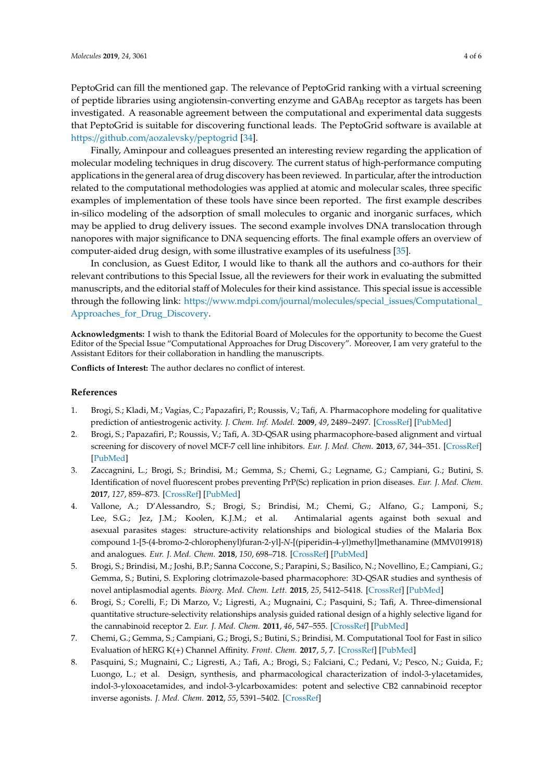PeptoGrid can fill the mentioned gap. The relevance of PeptoGrid ranking with a virtual screening of peptide libraries using angiotensin-converting enzyme and GABA<sub>B</sub> receptor as targets has been investigated. A reasonable agreement between the computational and experimental data suggests that PeptoGrid is suitable for discovering functional leads. The PeptoGrid software is available at https://[github.com](https://github.com/aozalevsky/peptogrid)/aozalevsky/peptogrid [\[34\]](#page-5-9).

Finally, Aminpour and colleagues presented an interesting review regarding the application of molecular modeling techniques in drug discovery. The current status of high-performance computing applications in the general area of drug discovery has been reviewed. In particular, after the introduction related to the computational methodologies was applied at atomic and molecular scales, three specific examples of implementation of these tools have since been reported. The first example describes in-silico modeling of the adsorption of small molecules to organic and inorganic surfaces, which may be applied to drug delivery issues. The second example involves DNA translocation through nanopores with major significance to DNA sequencing efforts. The final example offers an overview of computer-aided drug design, with some illustrative examples of its usefulness [\[35\]](#page-5-10).

In conclusion, as Guest Editor, I would like to thank all the authors and co-authors for their relevant contributions to this Special Issue, all the reviewers for their work in evaluating the submitted manuscripts, and the editorial staff of Molecules for their kind assistance. This special issue is accessible through the following link: https://www.mdpi.com/journal/molecules/special\_issues/[Computational\\_](https://www.mdpi.com/journal/molecules/special_issues/Computational_Approaches_for_Drug_Discovery) [Approaches\\_for\\_Drug\\_Discovery.](https://www.mdpi.com/journal/molecules/special_issues/Computational_Approaches_for_Drug_Discovery)

**Acknowledgments:** I wish to thank the Editorial Board of Molecules for the opportunity to become the Guest Editor of the Special Issue "Computational Approaches for Drug Discovery". Moreover, I am very grateful to the Assistant Editors for their collaboration in handling the manuscripts.

**Conflicts of Interest:** The author declares no conflict of interest.

## **References**

- <span id="page-3-0"></span>1. Brogi, S.; Kladi, M.; Vagias, C.; Papazafiri, P.; Roussis, V.; Tafi, A. Pharmacophore modeling for qualitative prediction of antiestrogenic activity. *J. Chem. Inf. Model.* **2009**, *49*, 2489–2497. [\[CrossRef\]](http://dx.doi.org/10.1021/ci900254b) [\[PubMed\]](http://www.ncbi.nlm.nih.gov/pubmed/19877675)
- 2. Brogi, S.; Papazafiri, P.; Roussis, V.; Tafi, A. 3D-QSAR using pharmacophore-based alignment and virtual screening for discovery of novel MCF-7 cell line inhibitors. *Eur. J. Med. Chem.* **2013**, *67*, 344–351. [\[CrossRef\]](http://dx.doi.org/10.1016/j.ejmech.2013.06.048) [\[PubMed\]](http://www.ncbi.nlm.nih.gov/pubmed/23880359)
- 3. Zaccagnini, L.; Brogi, S.; Brindisi, M.; Gemma, S.; Chemi, G.; Legname, G.; Campiani, G.; Butini, S. Identification of novel fluorescent probes preventing PrP(Sc) replication in prion diseases. *Eur. J. Med. Chem.* **2017**, *127*, 859–873. [\[CrossRef\]](http://dx.doi.org/10.1016/j.ejmech.2016.10.064) [\[PubMed\]](http://www.ncbi.nlm.nih.gov/pubmed/27842893)
- <span id="page-3-1"></span>4. Vallone, A.; D'Alessandro, S.; Brogi, S.; Brindisi, M.; Chemi, G.; Alfano, G.; Lamponi, S.; Lee, S.G.; Jez, J.M.; Koolen, K.J.M.; et al. Antimalarial agents against both sexual and asexual parasites stages: structure-activity relationships and biological studies of the Malaria Box compound 1-[5-(4-bromo-2-chlorophenyl)furan-2-yl]-*N*-[(piperidin-4-yl)methyl]methanamine (MMV019918) and analogues. *Eur. J. Med. Chem.* **2018**, *150*, 698–718. [\[CrossRef\]](http://dx.doi.org/10.1016/j.ejmech.2018.03.024) [\[PubMed\]](http://www.ncbi.nlm.nih.gov/pubmed/29571157)
- <span id="page-3-2"></span>5. Brogi, S.; Brindisi, M.; Joshi, B.P.; Sanna Coccone, S.; Parapini, S.; Basilico, N.; Novellino, E.; Campiani, G.; Gemma, S.; Butini, S. Exploring clotrimazole-based pharmacophore: 3D-QSAR studies and synthesis of novel antiplasmodial agents. *Bioorg. Med. Chem. Lett.* **2015**, *25*, 5412–5418. [\[CrossRef\]](http://dx.doi.org/10.1016/j.bmcl.2015.09.007) [\[PubMed\]](http://www.ncbi.nlm.nih.gov/pubmed/26428874)
- 6. Brogi, S.; Corelli, F.; Di Marzo, V.; Ligresti, A.; Mugnaini, C.; Pasquini, S.; Tafi, A. Three-dimensional quantitative structure-selectivity relationships analysis guided rational design of a highly selective ligand for the cannabinoid receptor 2. *Eur. J. Med. Chem.* **2011**, *46*, 547–555. [\[CrossRef\]](http://dx.doi.org/10.1016/j.ejmech.2010.11.034) [\[PubMed\]](http://www.ncbi.nlm.nih.gov/pubmed/21183257)
- 7. Chemi, G.; Gemma, S.; Campiani, G.; Brogi, S.; Butini, S.; Brindisi, M. Computational Tool for Fast in silico Evaluation of hERG K(+) Channel Affinity. *Front. Chem.* **2017**, *5*, 7. [\[CrossRef\]](http://dx.doi.org/10.3389/fchem.2017.00007) [\[PubMed\]](http://www.ncbi.nlm.nih.gov/pubmed/28503546)
- <span id="page-3-3"></span>8. Pasquini, S.; Mugnaini, C.; Ligresti, A.; Tafi, A.; Brogi, S.; Falciani, C.; Pedani, V.; Pesco, N.; Guida, F.; Luongo, L.; et al. Design, synthesis, and pharmacological characterization of indol-3-ylacetamides, indol-3-yloxoacetamides, and indol-3-ylcarboxamides: potent and selective CB2 cannabinoid receptor inverse agonists. *J. Med. Chem.* **2012**, *55*, 5391–5402. [\[CrossRef\]](http://dx.doi.org/10.1021/jm3003334)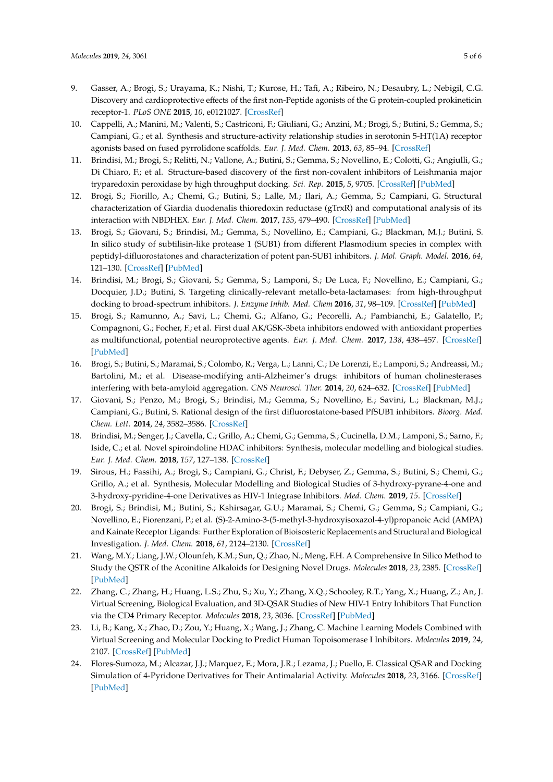- <span id="page-4-0"></span>9. Gasser, A.; Brogi, S.; Urayama, K.; Nishi, T.; Kurose, H.; Tafi, A.; Ribeiro, N.; Desaubry, L.; Nebigil, C.G. Discovery and cardioprotective effects of the first non-Peptide agonists of the G protein-coupled prokineticin receptor-1. *PLoS ONE* **2015**, *10*, e0121027. [\[CrossRef\]](http://dx.doi.org/10.1371/journal.pone.0121027)
- 10. Cappelli, A.; Manini, M.; Valenti, S.; Castriconi, F.; Giuliani, G.; Anzini, M.; Brogi, S.; Butini, S.; Gemma, S.; Campiani, G.; et al. Synthesis and structure-activity relationship studies in serotonin 5-HT(1A) receptor agonists based on fused pyrrolidone scaffolds. *Eur. J. Med. Chem.* **2013**, *63*, 85–94. [\[CrossRef\]](http://dx.doi.org/10.1016/j.ejmech.2013.01.044)
- 11. Brindisi, M.; Brogi, S.; Relitti, N.; Vallone, A.; Butini, S.; Gemma, S.; Novellino, E.; Colotti, G.; Angiulli, G.; Di Chiaro, F.; et al. Structure-based discovery of the first non-covalent inhibitors of Leishmania major tryparedoxin peroxidase by high throughput docking. *Sci. Rep.* **2015**, *5*, 9705. [\[CrossRef\]](http://dx.doi.org/10.1038/srep09705) [\[PubMed\]](http://www.ncbi.nlm.nih.gov/pubmed/25951439)
- 12. Brogi, S.; Fiorillo, A.; Chemi, G.; Butini, S.; Lalle, M.; Ilari, A.; Gemma, S.; Campiani, G. Structural characterization of Giardia duodenalis thioredoxin reductase (gTrxR) and computational analysis of its interaction with NBDHEX. *Eur. J. Med. Chem.* **2017**, *135*, 479–490. [\[CrossRef\]](http://dx.doi.org/10.1016/j.ejmech.2017.04.057) [\[PubMed\]](http://www.ncbi.nlm.nih.gov/pubmed/28477573)
- 13. Brogi, S.; Giovani, S.; Brindisi, M.; Gemma, S.; Novellino, E.; Campiani, G.; Blackman, M.J.; Butini, S. In silico study of subtilisin-like protease 1 (SUB1) from different Plasmodium species in complex with peptidyl-difluorostatones and characterization of potent pan-SUB1 inhibitors. *J. Mol. Graph. Model.* **2016**, *64*, 121–130. [\[CrossRef\]](http://dx.doi.org/10.1016/j.jmgm.2016.01.005) [\[PubMed\]](http://www.ncbi.nlm.nih.gov/pubmed/26826801)
- 14. Brindisi, M.; Brogi, S.; Giovani, S.; Gemma, S.; Lamponi, S.; De Luca, F.; Novellino, E.; Campiani, G.; Docquier, J.D.; Butini, S. Targeting clinically-relevant metallo-beta-lactamases: from high-throughput docking to broad-spectrum inhibitors. *J. Enzyme Inhib. Med. Chem* **2016**, *31*, 98–109. [\[CrossRef\]](http://dx.doi.org/10.3109/14756366.2016.1172575) [\[PubMed\]](http://www.ncbi.nlm.nih.gov/pubmed/27121013)
- <span id="page-4-1"></span>15. Brogi, S.; Ramunno, A.; Savi, L.; Chemi, G.; Alfano, G.; Pecorelli, A.; Pambianchi, E.; Galatello, P.; Compagnoni, G.; Focher, F.; et al. First dual AK/GSK-3beta inhibitors endowed with antioxidant properties as multifunctional, potential neuroprotective agents. *Eur. J. Med. Chem.* **2017**, *138*, 438–457. [\[CrossRef\]](http://dx.doi.org/10.1016/j.ejmech.2017.06.017) [\[PubMed\]](http://www.ncbi.nlm.nih.gov/pubmed/28689095)
- <span id="page-4-2"></span>16. Brogi, S.; Butini, S.; Maramai, S.; Colombo, R.; Verga, L.; Lanni, C.; De Lorenzi, E.; Lamponi, S.; Andreassi, M.; Bartolini, M.; et al. Disease-modifying anti-Alzheimer's drugs: inhibitors of human cholinesterases interfering with beta-amyloid aggregation. *CNS Neurosci. Ther.* **2014**, *20*, 624–632. [\[CrossRef\]](http://dx.doi.org/10.1111/cns.12290) [\[PubMed\]](http://www.ncbi.nlm.nih.gov/pubmed/24935788)
- <span id="page-4-3"></span>17. Giovani, S.; Penzo, M.; Brogi, S.; Brindisi, M.; Gemma, S.; Novellino, E.; Savini, L.; Blackman, M.J.; Campiani, G.; Butini, S. Rational design of the first difluorostatone-based PfSUB1 inhibitors. *Bioorg. Med. Chem. Lett.* **2014**, *24*, 3582–3586. [\[CrossRef\]](http://dx.doi.org/10.1016/j.bmcl.2014.05.044)
- <span id="page-4-4"></span>18. Brindisi, M.; Senger, J.; Cavella, C.; Grillo, A.; Chemi, G.; Gemma, S.; Cucinella, D.M.; Lamponi, S.; Sarno, F.; Iside, C.; et al. Novel spiroindoline HDAC inhibitors: Synthesis, molecular modelling and biological studies. *Eur. J. Med. Chem.* **2018**, *157*, 127–138. [\[CrossRef\]](http://dx.doi.org/10.1016/j.ejmech.2018.07.069)
- 19. Sirous, H.; Fassihi, A.; Brogi, S.; Campiani, G.; Christ, F.; Debyser, Z.; Gemma, S.; Butini, S.; Chemi, G.; Grillo, A.; et al. Synthesis, Molecular Modelling and Biological Studies of 3-hydroxy-pyrane-4-one and 3-hydroxy-pyridine-4-one Derivatives as HIV-1 Integrase Inhibitors. *Med. Chem.* **2019**, *15*. [\[CrossRef\]](http://dx.doi.org/10.2174/1573406415666181219113225)
- <span id="page-4-5"></span>20. Brogi, S.; Brindisi, M.; Butini, S.; Kshirsagar, G.U.; Maramai, S.; Chemi, G.; Gemma, S.; Campiani, G.; Novellino, E.; Fiorenzani, P.; et al. (S)-2-Amino-3-(5-methyl-3-hydroxyisoxazol-4-yl)propanoic Acid (AMPA) and Kainate Receptor Ligands: Further Exploration of Bioisosteric Replacements and Structural and Biological Investigation. *J. Med. Chem.* **2018**, *61*, 2124–2130. [\[CrossRef\]](http://dx.doi.org/10.1021/acs.jmedchem.8b00099)
- <span id="page-4-6"></span>21. Wang, M.Y.; Liang, J.W.; Olounfeh, K.M.; Sun, Q.; Zhao, N.; Meng, F.H. A Comprehensive In Silico Method to Study the QSTR of the Aconitine Alkaloids for Designing Novel Drugs. *Molecules* **2018**, *23*, 2385. [\[CrossRef\]](http://dx.doi.org/10.3390/molecules23092385) [\[PubMed\]](http://www.ncbi.nlm.nih.gov/pubmed/30231506)
- <span id="page-4-7"></span>22. Zhang, C.; Zhang, H.; Huang, L.S.; Zhu, S.; Xu, Y.; Zhang, X.Q.; Schooley, R.T.; Yang, X.; Huang, Z.; An, J. Virtual Screening, Biological Evaluation, and 3D-QSAR Studies of New HIV-1 Entry Inhibitors That Function via the CD4 Primary Receptor. *Molecules* **2018**, *23*, 3036. [\[CrossRef\]](http://dx.doi.org/10.3390/molecules23113036) [\[PubMed\]](http://www.ncbi.nlm.nih.gov/pubmed/30463393)
- <span id="page-4-8"></span>23. Li, B.; Kang, X.; Zhao, D.; Zou, Y.; Huang, X.; Wang, J.; Zhang, C. Machine Learning Models Combined with Virtual Screening and Molecular Docking to Predict Human Topoisomerase I Inhibitors. *Molecules* **2019**, *24*, 2107. [\[CrossRef\]](http://dx.doi.org/10.3390/molecules24112107) [\[PubMed\]](http://www.ncbi.nlm.nih.gov/pubmed/31167344)
- <span id="page-4-9"></span>24. Flores-Sumoza, M.; Alcazar, J.J.; Marquez, E.; Mora, J.R.; Lezama, J.; Puello, E. Classical QSAR and Docking Simulation of 4-Pyridone Derivatives for Their Antimalarial Activity. *Molecules* **2018**, *23*, 3166. [\[CrossRef\]](http://dx.doi.org/10.3390/molecules23123166) [\[PubMed\]](http://www.ncbi.nlm.nih.gov/pubmed/30513742)